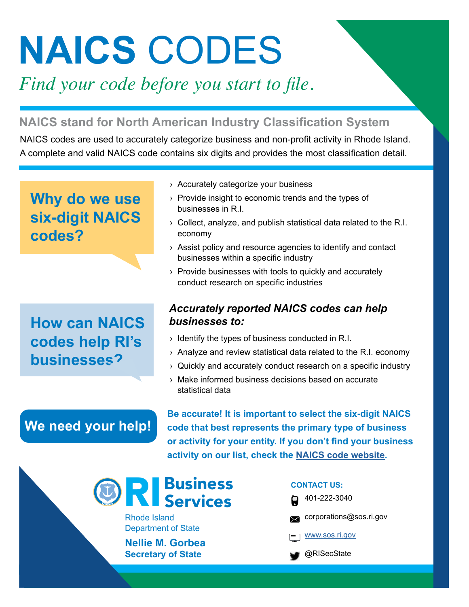# **NAICS** CODES

*Find your code before you start to file.*

## **NAICS stand for North American Industry Classification System**

NAICS codes are used to accurately categorize business and non-profit activity in Rhode Island. A complete and valid NAICS code contains six digits and provides the most classification detail.

## **Why do we use six-digit NAICS codes?**

## **How can NAICS codes help RI's businesses?**

**We need your help!** 

#### › Accurately categorize your business

- › Provide insight to economic trends and the types of businesses in R.I.
- › Collect, analyze, and publish statistical data related to the R.I. economy
- › Assist policy and resource agencies to identify and contact businesses within a specific industry
- › Provide businesses with tools to quickly and accurately conduct research on specific industries

### *Accurately reported NAICS codes can help businesses to:*

- › Identify the types of business conducted in R.I.
- › Analyze and review statistical data related to the R.I. economy
- › Quickly and accurately conduct research on a specific industry
- › Make informed business decisions based on accurate statistical data

**Be accurate! It is important to select the six-digit NAICS code that best represents the primary type of business or activity for your entity. If you don't find your business activity on our list, check the [NAICS code website](https://www.census.gov/eos/www/naics/).** 

## **CONTACT US:**<br> **CONTACT US:**<br> **CONTACT US:**<br> **CONTACT US:**<br> **CONTACT US:**<br> **CONTACT US:**<br> **CONTACT US:**<br> **CONTACT US:** Services

Rhode Island Department of State

**Nellie M. Gorbea Secretary of State**

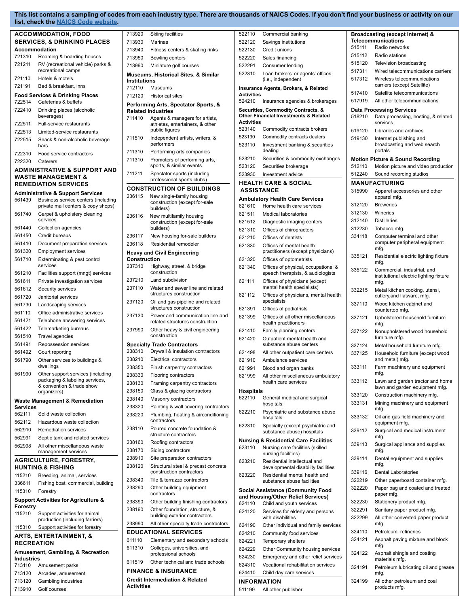#### **This list contains a sampling of codes from each industry type. There are thousands of NAICS Codes. If you don't find your business or activity on our list, check the [NAICS Code website.](https://www.census.gov/eos/www/naics/)**

| <b>ACCOMMODATION, FOOD</b>                                  | 713920                                       |                     | <b>Skiing facilities</b>                                    | 522110            | Commercial banking                                              |        | Broadcasting (except Internet) &                                                   |
|-------------------------------------------------------------|----------------------------------------------|---------------------|-------------------------------------------------------------|-------------------|-----------------------------------------------------------------|--------|------------------------------------------------------------------------------------|
| <b>SERVICES, &amp; DRINKING PLACES</b>                      | 713930                                       |                     | Marinas                                                     | 522120            | Savings institutions                                            |        | <b>Telecommunications</b>                                                          |
| Accommodation                                               | 713940                                       |                     | Fitness centers & skating rinks                             | 522130            | Credit unions                                                   | 515111 | Radio networks                                                                     |
| 721310<br>Rooming & boarding houses                         | 713950                                       |                     | <b>Bowling centers</b>                                      | 522220            | Sales financing                                                 | 515112 | Radio stations                                                                     |
| 721211<br>RV (recreational vehicle) parks &                 | 713990                                       |                     | Miniature golf courses                                      | 522291            | Consumer lending                                                | 515120 | Television broadcasting                                                            |
| recreational camps                                          |                                              |                     | <b>Museums, Historical Sites, &amp; Similar</b>             | 522310            | Loan brokers' or agents' offices                                | 517311 | Wired telecommunications carriers                                                  |
| 721110<br>Hotels & motels                                   |                                              | <b>Institutions</b> |                                                             |                   | (i.e., independent                                              | 517312 | Wireless telecommunications                                                        |
| 721191<br>Bed & breakfast, inns                             | 712110                                       |                     | Museums                                                     |                   | Insurance Agents, Brokers, & Related                            |        | carriers (except Satellite)                                                        |
| <b>Food Services &amp; Drinking Places</b>                  | 712120                                       |                     | <b>Historical sites</b>                                     | <b>Activities</b> |                                                                 | 517410 | Satellite telecommunications                                                       |
| 722514<br>Cafeterias & buffets                              |                                              |                     | Performing Arts, Spectator Sports, &                        | 524210            | Insurance agencies & brokerages                                 | 517919 | All other telecommunications                                                       |
| 722410<br>Drinking places (alcoholic                        |                                              |                     | <b>Related Industries</b>                                   |                   | Securities, Commodity Contracts, &                              |        | <b>Data Processing Services</b>                                                    |
| beverages)                                                  | 711410                                       |                     | Agents & managers for artists,                              |                   | <b>Other Financial Investments &amp; Related</b>                | 518210 | Data processing, hosting, & related                                                |
| 722511<br>Full-service restaurants                          |                                              |                     | athletes, entertainers, & other                             | <b>Activities</b> |                                                                 |        | services                                                                           |
| 722513<br>Limited-service restaurants                       |                                              |                     | public figures                                              | 523140            | Commodity contracts brokers                                     | 519120 | Libraries and archives                                                             |
| 722515<br>Snack & non-alcoholic beverage                    | 711510                                       |                     | Independent artists, writers, &                             | 523130            | Commodity contracts dealers                                     | 519130 | Internet publishing and                                                            |
| bars                                                        |                                              |                     | performers                                                  | 523110            | Investment banking & securities<br>dealing                      |        | broadcasting and web search<br>portals                                             |
| 722310<br>Food service contractors                          | 711310                                       |                     | Performing arts companies                                   | 523210            |                                                                 |        |                                                                                    |
| 722320<br>Caterers                                          | 711310                                       |                     | Promoters of performing arts,<br>sports, & similar events   |                   | Securities & commodity exchanges                                | 512110 | <b>Motion Picture &amp; Sound Recording</b><br>Motion picture and video production |
| <b>ADMINISTRATIVE &amp; SUPPORT AND</b>                     | 711211                                       |                     | Spectator sports (including                                 | 523120            | Securities brokerage                                            |        |                                                                                    |
| <b>WASTE MANAGEMENT &amp;</b>                               |                                              |                     | professional sports clubs)                                  | 523930            | Investment advice                                               | 512240 | Sound recording studios                                                            |
| <b>REMEDIATION SERVICES</b>                                 |                                              |                     | <b>CONSTRUCTION OF BUILDINGS</b>                            |                   | <b>HEALTH CARE &amp; SOCIAL</b>                                 |        | <b>MANUFACTURING</b>                                                               |
| <b>Administrative &amp; Support Services</b>                | 236115                                       |                     | New single-family housing                                   | <b>ASSISTANCE</b> |                                                                 | 315990 | Apparel accessories and other                                                      |
| 561439                                                      | Business service centers (including          |                     | construction (except for-sale                               |                   | <b>Ambulatory Health Care Services</b>                          |        | apparel mfg.                                                                       |
|                                                             | private mail centers & copy shops)           |                     | builders)                                                   | 621610            | Home health care services                                       | 312120 | <b>Breweries</b>                                                                   |
| 561740<br>Carpet & upholstery cleaning                      | 236116                                       |                     | New multifamily housing                                     | 621511            | <b>Medical laboratories</b>                                     | 312130 | Wineries                                                                           |
| services                                                    |                                              |                     | construction (except for-sale                               | 621512            | Diagnostic imaging centers                                      | 312140 | <b>Distilleries</b>                                                                |
| 561440<br>Collection agencies                               |                                              |                     | builders)                                                   | 621310            | Offices of chiropractors                                        | 312230 | Tobacco mfg.                                                                       |
| 561450<br>Credit bureaus                                    | 236117                                       |                     | New housing for-sale builders                               | 621210            | Offices of dentists                                             | 334118 | Computer terminal and other                                                        |
| 561410<br>Document preparation services                     | 236118                                       |                     | Residential remodeler                                       | 621330            | Offices of mental health                                        |        | computer peripheral equipment<br>mfg.                                              |
| 561320<br><b>Employment services</b>                        |                                              |                     | <b>Heavy and Civil Engineering</b>                          |                   | practitioners (except physicians)                               | 335121 | Residential electric lighting fixture                                              |
| 561710<br>Exterminating & pest control                      |                                              |                     | <b>Construction</b>                                         | 621320            | Offices of optometrists                                         |        | mfg.                                                                               |
| services                                                    | 237310                                       |                     | Highway, street, & bridge<br>construction                   | 621340            | Offices of physical, occupational &                             | 335122 | Commercial, industrial, and                                                        |
| 561210<br>Facilities support (mngt) services                | 237210                                       |                     |                                                             |                   | speech therapists, & audiologists                               |        | institutional electric lighting fixture                                            |
| 561611<br>Private investigation services                    |                                              |                     | Land subdivision                                            | 621111            | Offices of physicians (except<br>mental health specialists)     |        | mfg.                                                                               |
| 561612<br>Security services                                 | 237110                                       |                     | Water and sewer line and related<br>structures construction | 621112            | Offices of physicians, mental health                            | 332215 | Metal kitchen cooking, utensi,                                                     |
| 561720<br>Janitorial services                               | 237120                                       |                     | Oil and gas pipeline and related                            |                   | specialists                                                     |        | cutlery, and flatware, mfg.                                                        |
| 561730<br>Landscaping services                              |                                              |                     | structures construction                                     | 621391            | Offices of podiatrists                                          | 337110 | Wood kitchen cabinet and<br>countertop mfg.                                        |
| 561110<br>Office administrative services                    | 237130                                       |                     | Power and communication line and                            | 621399            | Offices of all other miscellaneous                              | 337121 | Upholstered household furniture                                                    |
| 561421<br>Telephone answering services                      |                                              |                     | related structures construction                             |                   | health practitioners                                            |        | mfg.                                                                               |
| 561422<br>Telemarketing bureaus                             | 237990                                       |                     | Other heavy & civil engineering                             | 621410            | Family planning centers                                         | 337122 | Nonupholstered wood household                                                      |
| 561510<br>Travel agencies                                   |                                              |                     | construction                                                | 621420            | Outpatient mental health and                                    |        | furniture mfg.                                                                     |
| 561491<br>Repossession services                             |                                              |                     | <b>Specialty Trade Contractors</b>                          |                   | substance abuse centers                                         | 337124 | Metal household furniture mfg.                                                     |
| 561492<br>Court reporting                                   | 238310                                       |                     | Drywall & insulation contractors                            | 621498            | All other outpatient care centers                               | 337125 | Household furniture (except wood                                                   |
| 561790<br>Other services to buildings &                     | 238210                                       |                     | <b>Electrical contractors</b>                               | 621910            | Ambulance services                                              |        | and metal) mfg.                                                                    |
| dwellings                                                   | 238350                                       |                     | Finish carpentry contractors                                | 621991            | Blood and organ banks                                           | 333111 | Farm machinery and equipment                                                       |
| 561990<br>Other support services (including                 | 238330                                       |                     | Flooring contractors                                        | 621999            | All other miscellaneous ambulatory                              |        | mfg.                                                                               |
| packaging & labeling services,<br>& convention & trade show | 238130                                       |                     | Framing carpentry contractors                               |                   | health care services                                            | 333112 | Lawn and garden tractor and home                                                   |
| organizers)                                                 | 238150                                       |                     | Glass & glazing contractors                                 | <b>Hospitals</b>  |                                                                 |        | lawn and garden equipment mfg.                                                     |
| <b>Waste Management &amp; Remediation</b>                   | 238140                                       |                     | Masonry contractors                                         | 622110            | General medical and surgical                                    | 333120 | Construction machinery mfg.                                                        |
| <b>Services</b>                                             | 238320                                       |                     | Painting & wall covering contractors                        |                   | hospitals                                                       | 333131 | Mining machinery and equipment<br>mfg.                                             |
| 562111<br>Solid waste collection                            | 238220                                       |                     | Plumbing, heating & airconditioning                         | 622210            | Psychiatric and substance abuse                                 | 333132 | Oil and gas field machinery and                                                    |
| 562112<br>Hazardous waste collection                        |                                              |                     | contractors                                                 |                   | hospitals                                                       |        | equipment mfg.                                                                     |
| 562910<br><b>Remediation services</b>                       | 238110                                       |                     | Poured concrete foundation &                                | 622310            | Specialty (except psychiatric and<br>substance abuse) hospitals | 339112 | Surgical and medical instrument                                                    |
| 562991<br>Septic tank and related services                  |                                              |                     | structure contractors                                       |                   | <b>Nursing &amp; Residential Care Facilities</b>                |        | mfg.                                                                               |
| 562998<br>All other miscellaneous waste                     | 238160                                       |                     | Roofing contractors                                         | 623110            | Nursing care facilities (skilled                                | 339113 | Surgical appliance and supplies                                                    |
| management services                                         | 238170                                       |                     | Siding contractors                                          |                   | nursing facilities)                                             |        | mfg.                                                                               |
| <b>AGRICULTURE, FORESTRY,</b>                               | 238910                                       |                     | Site preparation contractors                                | 623210            | Residential intellectual and                                    | 339114 | Dental equipment and supplies                                                      |
| <b>HUNTING,&amp; FISHING</b>                                | 238120                                       |                     | Structural steel & precast concrete                         |                   | developmental disability facilities                             |        | mfg.                                                                               |
| 115210<br>Breeding, animal, services                        |                                              |                     | construction contractors                                    | 623220            | Residential mental health and                                   | 339116 | Dental Laboratories                                                                |
| 336611                                                      | 238340<br>Fishing boat, commercial, building |                     | Tile & terrazzo contractors                                 |                   | substance abuse facilities                                      | 322219 | Other paperboard container mfg.                                                    |
| 115310<br>Forestry                                          | 238290                                       |                     | Other building equipment<br>contractors                     |                   | <b>Social Assistance (Community Food</b>                        | 322220 | Paper bag and coated and treated<br>paper mfg.                                     |
| <b>Support Activities for Agriculture &amp;</b>             | 238390                                       |                     | Other building finishing contractors                        |                   | and Housing/Other Relief Services)                              | 322230 | Stationery product mfg.                                                            |
| Forestry                                                    | 238190                                       |                     | Other foundation, structure, &                              | 624110            | Child and youth services                                        |        |                                                                                    |
| 115210<br>Support activities for animal                     |                                              |                     | building exterior contractors                               | 624120            | Services for elderly and persons<br>with disabilities           | 322291 | Sanitary paper product mfg.                                                        |
| production (including farriers)                             | 238990                                       |                     | All other specialty trade contractors                       |                   |                                                                 | 322299 | All other converted paper product<br>mfg.                                          |
| Support activities for forestry<br>115310                   |                                              |                     | <b>EDUCATIONAL SERVICES</b>                                 | 624190            | Other individual and family services                            | 324110 | Petroleum refineries                                                               |
| <b>ARTS, ENTERTAINMENT, &amp;</b>                           | 611110                                       |                     |                                                             | 624210            | Community food services                                         | 324121 | Asphalt paving mixture and block                                                   |
| <b>RECREATION</b>                                           | 611310                                       |                     | Elementary and secondary schools                            | 624221            | Temporary shelters                                              |        | mfg.                                                                               |
| <b>Amusement, Gambling, &amp; Recreation</b>                |                                              |                     | Colleges, universities, and<br>professional schools         | 624229            | Other Community housing services                                | 324122 | Asphalt shingle and coating                                                        |
| Industries                                                  | 611519                                       |                     | Other technical and trade schools                           | 624230            | Emergency and other relief services                             |        | materials mfg.                                                                     |
| 713110<br>Amusement parks                                   |                                              |                     |                                                             | 624310            | Vocational rehabilitation services                              | 324191 | Petroleum lubricating oil and grease                                               |
| 713120<br>Arcades, amusement                                |                                              |                     | <b>FINANCE &amp; INSURANCE</b>                              | 624410            | Child day care services                                         |        | mfg.                                                                               |
| 713120<br>Gambling industries                               |                                              |                     | <b>Credit Intermediation &amp; Related</b>                  |                   | <b>INFORMATION</b>                                              | 324199 | All other petroleum and coal                                                       |
| 713910<br>Golf courses                                      |                                              | <b>Activities</b>   |                                                             | 511199            | All other publisher                                             |        | products mfg.                                                                      |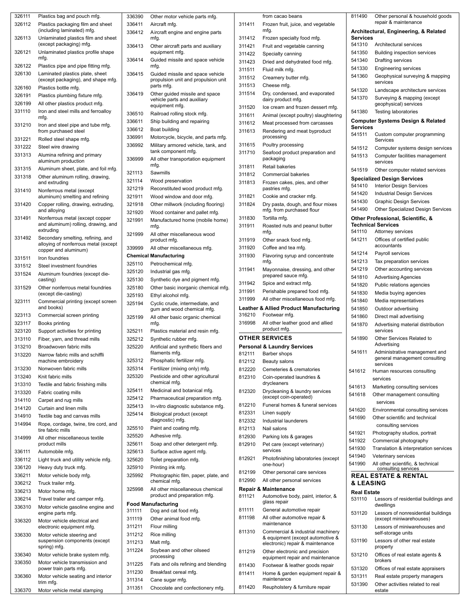| 326111 | Plastics bag and pouch mfg.          |
|--------|--------------------------------------|
|        |                                      |
| 326112 | Plastics packaging film and sheet    |
|        | (including laminated) mfg.           |
| 326113 | Unlaminated plastics film and sheet  |
|        | (except packaging) mfg.              |
|        |                                      |
| 326121 | Unlaminated plastics profile shape   |
|        | mfg.                                 |
| 326122 | Plastics pipe and pipe fitting mfg.  |
|        |                                      |
| 326130 | Laminated plastics plate, sheet      |
|        | (except packaging), and shape mfg.   |
| 326160 | Plastics bottle mfg.                 |
| 326191 |                                      |
|        | Plastics plumbing fixture mfg.       |
| 326199 | All other plastics product mfg.      |
| 331110 | Iron and steel mills and ferroalloy  |
|        | mfg.                                 |
|        |                                      |
| 331210 | Iron and steel pipe and tube mfg.    |
|        | from purchased steel                 |
| 331221 | Rolled steel shape mfg.              |
|        |                                      |
| 331222 | Steel wire drawing                   |
| 331313 | Alumina refining and primary         |
|        | aluminum production                  |
| 331315 | Aluminum sheet, plate, and foil mfg. |
|        |                                      |
| 331318 | Other aluminum rolling, drawing,     |
|        | and extruding                        |
| 331410 | Nonferrous metal (except             |
|        | aluminum) smelting and refining      |
|        |                                      |
| 331420 | Copper rolling, drawing, extruding,  |
|        | and alloying                         |
| 331491 | Nonferrous metal (except copper      |
|        | and aluminum) rolling, drawing, and  |
|        | extruding                            |
|        |                                      |
| 331492 | Secondary smelting, refining, and    |
|        | alloying of nonferrous metal (except |
|        | copper and aluminum)                 |
| 331511 | Iron foundries                       |
| 331512 | Steel investment foundries           |
|        |                                      |
| 331524 | Aluminum foundries (except die-      |
|        | casting)                             |
| 331529 | Other nonferrous metal foundries     |
|        | (except die-casting)                 |
| 323111 | Commercial printing (except screen   |
|        |                                      |
|        | and books)                           |
| 323113 | Commercial screen printing           |
| 323117 | Books printing                       |
|        |                                      |
| 323120 | Support activities for printing      |
| 313110 | Fiber, yarn, and thread mills        |
| 313210 | Broadwoven fabric mills              |
|        |                                      |
| 313220 | Narrow fabric mills and schiffli     |
|        | machine embroidery                   |
| 313230 | Nonwoven fabric mills                |
|        | Knit fabric mills                    |
| 313240 |                                      |
| 313310 | Textile and fabric finishing mills   |
| 313320 | Fabric coating mills                 |
|        |                                      |
| 314110 | Carpet and rug mills                 |
| 314120 | Curtain and linen mills              |
| 314910 | Textile bag and canvas mills         |
|        |                                      |
| 314994 | Rope, cordage, twine, tire cord, and |
|        | tire fabric mills                    |
| 314999 | All other miscellaneous textile      |
|        | product mills                        |
| 336111 | Automobile mfg.                      |
|        |                                      |
| 336112 | Light truck and utility vehicle mfg. |
| 336120 | Heavy duty truck mfg.                |
| 336211 | Motor vehicle body mfg.              |
|        |                                      |
| 336212 | Truck trailer mfg.                   |
| 336213 | Motor home mfg.                      |
| 336214 | Travel trailer and camper mfg.       |
|        |                                      |
| 336310 | Motor vehicle gasoline engine and    |
|        | engine parts mfg.                    |
| 336320 | Motor vehicle electrical and         |
|        | electronic equipment mfg.            |
|        |                                      |
| 336330 | Motor vehicle steering and           |
|        | suspension components (except        |
|        | spring) mfg.                         |
| 336340 | Motor vehicle brake system mfg.      |
| 336350 | Motor vehicle transmission and       |
|        | power train parts mfg.               |
|        |                                      |
| 336360 | Motor vehicle seating and interior   |
|        | trim mfg.                            |
| 336370 | Motor vehicle metal stamping         |

| 336390 | Other motor vehicle parts mfg.                 |      |
|--------|------------------------------------------------|------|
| 336411 | Aircraft mfg.                                  | 3114 |
| 336412 | Aircraft engine and engine parts               |      |
|        | mfg.                                           | 3114 |
| 336413 | Other aircraft parts and auxiliary             | 3114 |
|        | equipment mfg.                                 | 3114 |
| 336414 | Guided missile and space vehicle               | 3114 |
|        | mfg.                                           | 3115 |
| 336415 | Guided missile and space vehicle               |      |
|        | propulsion unit and propulsion unit            | 3115 |
|        | parts mfg.                                     | 3115 |
| 336419 | Other guided missile and space                 | 3115 |
|        | vehicle parts and auxiliary                    |      |
|        | equipment mfg.                                 | 3115 |
| 336510 | Railroad rolling stock mfg.                    | 3116 |
| 336611 | Ship building and repairing                    | 3116 |
| 336612 | Boat building                                  |      |
|        |                                                | 3116 |
| 336991 | Motorcycle, bicycle, and parts mfg.            |      |
| 336992 | Military armored vehicle, tank, and            | 3116 |
|        | tank component mfg.                            | 3117 |
| 336999 | All other transportation equipment             |      |
|        | mfg.                                           | 3118 |
| 321113 | Sawmills                                       | 3118 |
| 321114 | Wood preservation                              | 3118 |
| 321219 | Reconstituted wood product mfg.                |      |
|        |                                                | 3118 |
| 321911 | Wood window and door mfg.                      |      |
| 321918 | Other millwork (including flooring)            | 3118 |
| 321920 | Wood container and pallet mfg.                 |      |
| 321991 | Manufactured home (mobile home)                | 3118 |
|        | mfg.                                           | 3119 |
| 321999 | All other miscellaneous wood                   |      |
|        | product mfg.                                   | 3119 |
| 339999 | All other miscellaneous mfg.                   | 3119 |
|        |                                                | 3119 |
|        | <b>Chemical Manufacturing</b>                  |      |
| 325110 | Petrochemical mfg.                             |      |
| 325120 | Industrial gas mfg.                            | 3119 |
| 325130 | Synthetic dye and pigment mfg.                 |      |
| 325180 | Other basic inorganic chemical mfg.            | 3119 |
| 325193 | Ethyl alcohol mfg.                             | 3119 |
|        |                                                | 3119 |
|        |                                                |      |
| 325194 | Cyclic crude, intermediate, and                |      |
|        | gum and wood chemical mfg.                     | Leat |
| 325199 | All other basic organic chemical               | 3162 |
|        | mfg.                                           | 3169 |
| 325211 | Plastics material and resin mfg.               |      |
| 325212 | Synthetic rubber mfg.                          | OTI  |
| 325220 | Artificial and synthetic fibers and            | Pers |
|        | filaments mfg.                                 |      |
| 325312 |                                                | 8121 |
|        | Phosphatic fertilizer mfg.                     | 8121 |
| 325314 | Fertilizer (mixing only) mfg.                  | 8122 |
| 325320 | Pesticide and other agricultural               | 8123 |
|        | chemical mfg.                                  |      |
| 325411 | Medicinal and botanical mfg.                   | 8123 |
| 325412 | Pharmaceutical preparation mfg.                |      |
| 325413 | In-vitro diagnostic substance mfg.             | 8122 |
| 325414 |                                                | 8123 |
|        | Biological product (except<br>diagnostic) mfg. | 8123 |
|        |                                                |      |
| 325510 | Paint and coating mfg.                         | 8121 |
| 325520 | Adhesive mfg.                                  | 8129 |
| 325611 | Soap and other detergent mfg.                  | 8129 |
| 325613 | Surface active agent mfg.                      |      |
| 325620 | Toilet preparation mfg.                        | 8129 |
| 325910 |                                                |      |
|        | Printing ink mfg.                              | 8121 |
| 325992 | Photographic film, paper, plate, and           | 8129 |
|        | chemical mfg.                                  |      |
| 325998 | All other miscellaneous chemical               | Rep  |
|        | product and preparation mfg.                   | 8111 |
|        | <b>Food Manufacturing</b>                      |      |
| 311111 | Dog and cat food mfg.                          | 8111 |
| 311119 | Other animal food mfg.                         | 8111 |
| 311211 | Flour milling                                  |      |
| 311212 | Rice milling                                   | 8113 |
|        |                                                |      |
| 311213 | Malt mfg.                                      |      |
| 311224 | Soybean and other oilseed                      | 8112 |
|        | processing                                     |      |
| 311225 | Fats and oils refining and blending            | 8114 |
| 311230 | Breakfast cereal mfg.                          | 8114 |
| 311314 | Cane sugar mfg.                                |      |

|        | from cacao beans                                                     | 811490                       | Ot          |
|--------|----------------------------------------------------------------------|------------------------------|-------------|
| 311411 | Frozen fruit, juice, and vegetable                                   |                              | re          |
| 311412 | mfg.<br>Frozen specialty food mfg.                                   | Architectur<br>Services      |             |
| 311421 | Fruit and vegetable canning                                          | 541310                       | Ar          |
| 311422 | Specialty canning                                                    | 541350                       | Βι          |
| 311423 | Dried and dehydrated food mfg.                                       | 541340                       | Dr          |
| 311511 | Fluid milk mfg.                                                      | 541330                       | Er          |
| 311512 | Creamery butter mfg.                                                 | 541360                       | G6          |
| 311513 | Cheese mfg.                                                          |                              | se          |
| 311514 | Dry, condensed, and evaporated                                       | 541320                       | La          |
|        | dairy product mfg.                                                   | 541370                       | Sι<br>ge    |
| 311520 | Ice cream and frozen dessert mfg.                                    | 541380                       | Te          |
| 311611 | Animal (except poultry) slaughtering                                 | Computer S                   |             |
| 311612 | Meat processed from carcasses                                        | <b>Services</b>              |             |
| 311613 | Rendering and meat byproduct<br>processing                           | 541511                       | Cι          |
| 311615 | Poultry processing                                                   |                              | Sε          |
| 311710 | Seafood product preparation and                                      | 541512                       | С           |
|        | packaging                                                            | 541513                       | С<br>se     |
| 311811 | <b>Retail bakeries</b>                                               | 541519                       | Ot          |
| 311812 | <b>Commercial bakeries</b>                                           | Specialized                  |             |
| 311813 | Frozen cakes, pies, and other                                        | 541410                       | Int         |
| 311821 | pastries mfg.<br>Cookie and cracker mfg.                             | 541420                       | ln          |
| 311824 | Dry pasta, dough, and flour mixes                                    | 541430                       | Gı          |
|        | mfg. from purchased flour                                            | 541490                       | Ot          |
| 311830 | Tortilla mfg.                                                        | <b>Other Profe</b>           |             |
| 311911 | Roasted nuts and peanut butter                                       | Technical S                  |             |
|        | mfg.                                                                 | 541110                       | At          |
| 311919 | Other snack food mfg.                                                | 541211                       | Of          |
| 311920 | Coffee and tea mfg.                                                  | 541214                       | ac<br>Pε    |
| 311930 | Flavoring syrup and concentrate<br>mfg.                              | 541213                       | Та          |
| 311941 | Mayonnaise, dressing, and other                                      | 541219                       | Ot          |
|        | prepared sauce mfg.                                                  | 541810                       | Ac          |
| 311942 | Spice and extract mfg.                                               | 541820                       | PL          |
| 311991 | Perishable prepared food mfg.                                        | 541830                       | M           |
| 311999 | All other miscellaneous food mfg.                                    | 541840                       | M           |
|        | Leather & Allied Product Manufacturing                               | 541850                       | Оι          |
| 316210 | Footwear mfg.                                                        | 541860                       | Di          |
| 316998 | All other leather good and allied<br>product mfg.                    | 541870                       | Ac          |
|        | <b>OTHER SERVICES</b>                                                | 541890                       | se<br>Ot    |
|        | <b>Personal &amp; Laundry Services</b>                               |                              | Ac          |
| 812111 | Barber shops                                                         | 541611                       | Ac          |
| 812112 | Beauty salons                                                        |                              | ge<br>se    |
| 812220 | Cemeteries & crematories                                             | 541612                       | Hu          |
| 812310 | Coin-operated laundries &                                            |                              | ser         |
|        | drycleaners                                                          | 541613                       | Ма          |
| 812320 | Drycleaning & laundry services<br>(except coin-operated)             | 541618                       | Oth         |
| 812210 | Funeral homes & funeral services                                     |                              | S           |
| 812331 | Linen supply                                                         | 541620                       | En          |
| 812332 | Industrial launderers                                                | 541690                       | Oth         |
| 812113 | Nail salons                                                          |                              | C           |
| 812930 | Parking lots & garages                                               | 541921                       | Pho         |
| 812910 | Pet care (except veterinary)                                         | 541922                       | Col         |
|        |                                                                      |                              | Tra         |
| 812921 | services                                                             | 541930                       |             |
| 812199 | Photofinishing laboratories (except<br>one-hour)                     | 541940<br>541990             | Vet<br>All  |
|        | Other personal care services                                         |                              | $\mathbf c$ |
| 812990 | All other personal services                                          | <b>REAL EST</b>              |             |
|        | Repair & Maintenance                                                 | <b>&amp; LEASIN</b>          |             |
| 811121 | Automotive body, paint, interior, &<br>glass repair                  | <b>Real Estate</b><br>531110 | Le          |
| 811111 | General automotive repair                                            |                              | dv          |
|        | All other automotive repair &                                        | 531120                       | Le          |
| 811198 | maintenance                                                          | 531130                       | (e<br>Le    |
|        | Commercial & industrial machinery                                    |                              | se          |
| 811310 | & equipment (except automotive &<br>electronic) repair & maintenance | 531190                       | Le          |
| 811219 | Other electronic and precision                                       |                              | pr          |
|        | equipment repair and maintenance                                     | 531210                       | Of<br>br    |
| 811430 | Footwear & leather goods repair                                      | 531320                       | Of          |
| 811411 | Home & garden equipment repair &                                     | 531311                       | R٤          |
| 811420 | maintenance<br>Reupholstery & furniture repair                       | 531390                       | Ot<br>es    |

| 811490             | Other personal & household goods<br>repair & maintenance                   |
|--------------------|----------------------------------------------------------------------------|
| Services           | Architectural, Engineering, & Related                                      |
| 541310             | Architectural services                                                     |
| 541350             | <b>Building inspection services</b>                                        |
| 541340             | Drafting services                                                          |
| 541330             | <b>Engineering services</b>                                                |
| 541360             | Geophysical surveying & mapping<br>services                                |
| 541320             | Landscape architecture services                                            |
| 541370             | Surveying & mapping (except<br>geophysical) services                       |
| 541380             | <b>Testing laboratories</b><br>Computer Systems Design & Related           |
| Services           |                                                                            |
| 541511             | Custom computer programming<br>Services                                    |
| 541512             | Computer systems design services                                           |
| 541513             | Computer facilities management<br>services                                 |
| 541519             | Other computer related services                                            |
|                    | <b>Specialized Design Services</b>                                         |
| 541410             | <b>Interior Design Services</b>                                            |
| 541420             | <b>Industrial Design Services</b>                                          |
| 541430             | <b>Graphic Design Services</b>                                             |
| 541490             | Other Specialized Design Services                                          |
|                    | Other Professional, Scientific, &                                          |
|                    | <b>Technical Services</b>                                                  |
| 541110             | Attorney services                                                          |
| 541211             | Offices of certified public<br>accountants                                 |
| 541214             | Payroll services                                                           |
| 541213             | Tax preparation services                                                   |
| 541219             | Other accounting services                                                  |
| 541810             | <b>Advertising Agencies</b>                                                |
| 541820             | Public relations agencies                                                  |
| 541830             | Media buying agencies                                                      |
| 541840             | Media representatives                                                      |
| 541850             | Outdoor advertising                                                        |
| 541860             | Direct mail advertising                                                    |
| 541870             |                                                                            |
| 541890             | Advertising material distribution<br>services<br>Other Services Related to |
|                    | Advertising                                                                |
| 541611             | Administrative management and<br>general management consulting<br>services |
| 541612             | Human resources consulting<br>services                                     |
| 541613             | Marketing consulting services                                              |
| 541618             | Other management consulting                                                |
|                    | services                                                                   |
| 541620             | Environmental consulting services                                          |
| 541690             | Other scientific and technical                                             |
|                    | consulting services                                                        |
| 541921             | Photography studios, portrait                                              |
| 541922             | Commercial photography                                                     |
| 541930             | Translation & interpretation services                                      |
| 541940             | Veterinary services                                                        |
| 541990             | All other scientific, & technical                                          |
|                    | consulting services<br><b>REAL ESTATE &amp; RENTAL</b>                     |
| & LEASING          |                                                                            |
| <b>Real Estate</b> |                                                                            |
| 531110             | Lessors of residential buildings and                                       |
| 531120             | dwellings<br>Lessors of nonresidential buildings                           |
| 531130             | (except miniwarehouses)<br>Lessors of miniwarehouses and                   |
| 531190             | self-storage units<br>Lessors of other real estate                         |
| 531210             | property<br>Offices of real estate agents &                                |
| 531320             | brokers<br>Offices of real estate appraisers                               |
| 531311             | Real estate property managers                                              |
| 531390             | Other activities related to real                                           |
|                    |                                                                            |

estate